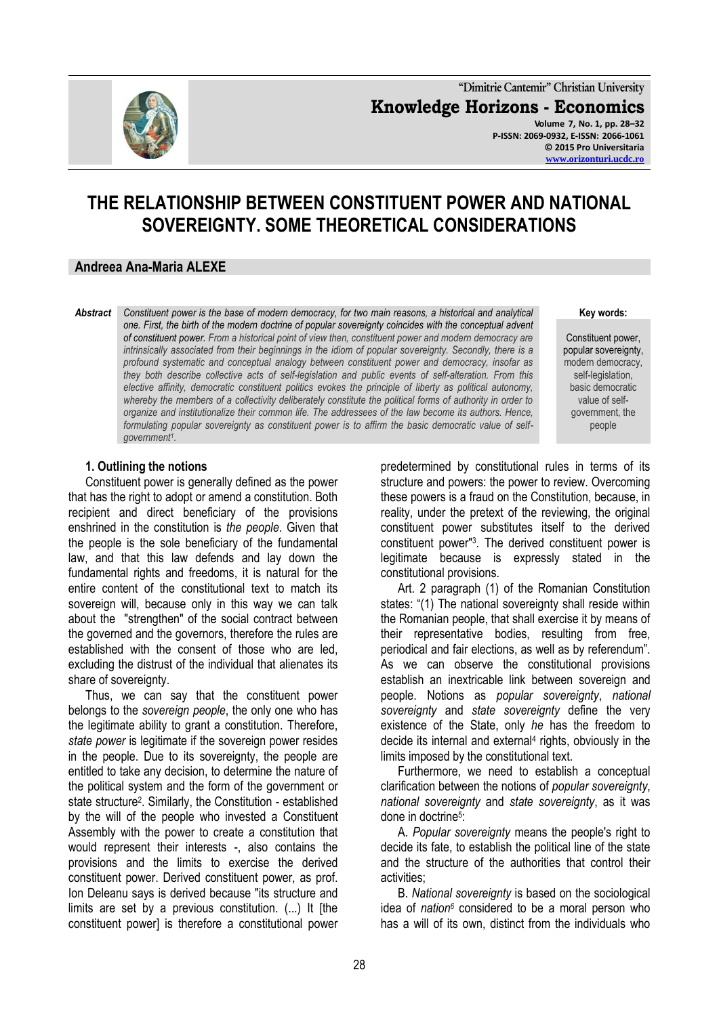

**"Dimitrie Cantemir" Christian University Knowledge Horizons - Economics Volume 7, No. 1, pp. 28–32 P-ISSN: 2069-0932, E-ISSN: 2066-1061 © 2015 Pro Universitaria**

# **THE RELATIONSHIP BETWEEN CONSTITUENT POWER AND NATIONAL SOVEREIGNTY. SOME THEORETICAL CONSIDERATIONS**

### **Andreea Ana-Maria ALEXE**

*Abstract Constituent power is the base of modern democracy, for two main reasons, a historical and analytical one. First, the birth of the modern doctrine of popular sovereignty coincides with the conceptual advent of constituent power. From a historical point of view then, constituent power and modern democracy are intrinsically associated from their beginnings in the idiom of popular sovereignty. Secondly, there is a profound systematic and conceptual analogy between constituent power and democracy, insofar as they both describe collective acts of self-legislation and public events of self-alteration. From this elective affinity, democratic constituent politics evokes the principle of liberty as political autonomy, whereby the members of a collectivity deliberately constitute the political forms of authority in order to organize and institutionalize their common life. The addressees of the law become its authors. Hence, formulating popular sovereignty as constituent power is to affirm the basic democratic value of selfgovernment<sup>1</sup> .*

#### **1. Outlining the notions**

Constituent power is generally defined as the power that has the right to adopt or amend a constitution. Both recipient and direct beneficiary of the provisions enshrined in the constitution is *the people*. Given that the people is the sole beneficiary of the fundamental law, and that this law defends and lay down the fundamental rights and freedoms, it is natural for the entire content of the constitutional text to match its sovereign will, because only in this way we can talk about the "strengthen" of the social contract between the governed and the governors, therefore the rules are established with the consent of those who are led, excluding the distrust of the individual that alienates its share of sovereignty.

Thus, we can say that the constituent power belongs to the *sovereign people*, the only one who has the legitimate ability to grant a constitution. Therefore, *state power* is legitimate if the sovereign power resides in the people. Due to its sovereignty, the people are entitled to take any decision, to determine the nature of the political system and the form of the government or state structure<sup>2</sup>. Similarly, the Constitution - established by the will of the people who invested a Constituent Assembly with the power to create a constitution that would represent their interests -, also contains the provisions and the limits to exercise the derived constituent power. Derived constituent power, as prof. Ion Deleanu says is derived because "its structure and limits are set by a previous constitution. (...) It [the constituent power] is therefore a constitutional power

**Key words:**

**[www.orizonturi.ucdc.ro](http://www.orizonturi.ucdc.ro/)**

Constituent power, popular sovereignty, modern democracy, self-legislation, basic democratic value of selfgovernment, the people

predetermined by constitutional rules in terms of its structure and powers: the power to review. Overcoming these powers is a fraud on the Constitution, because, in reality, under the pretext of the reviewing, the original constituent power substitutes itself to the derived constituent power"<sup>3</sup> . The derived constituent power is legitimate because is expressly stated in the constitutional provisions.

Art. 2 paragraph (1) of the Romanian Constitution states: "(1) The national sovereignty shall reside within the Romanian people, that shall exercise it by means of their representative bodies, resulting from free, periodical and fair elections, as well as by referendum". As we can observe the constitutional provisions establish an inextricable link between sovereign and people. Notions as *popular sovereignty*, *national sovereignty* and *state sovereignty* define the very existence of the State, only *he* has the freedom to decide its internal and external<sup>4</sup> rights, obviously in the limits imposed by the constitutional text.

Furthermore, we need to establish a conceptual clarification between the notions of *popular sovereignty*, *national sovereignty* and *state sovereignty*, as it was done in doctrine<sup>5</sup>:

A. *Popular sovereignty* means the people's right to decide its fate, to establish the political line of the state and the structure of the authorities that control their activities;

B. *National sovereignty* is based on the sociological idea of *nation<sup>6</sup>* considered to be a moral person who has a will of its own, distinct from the individuals who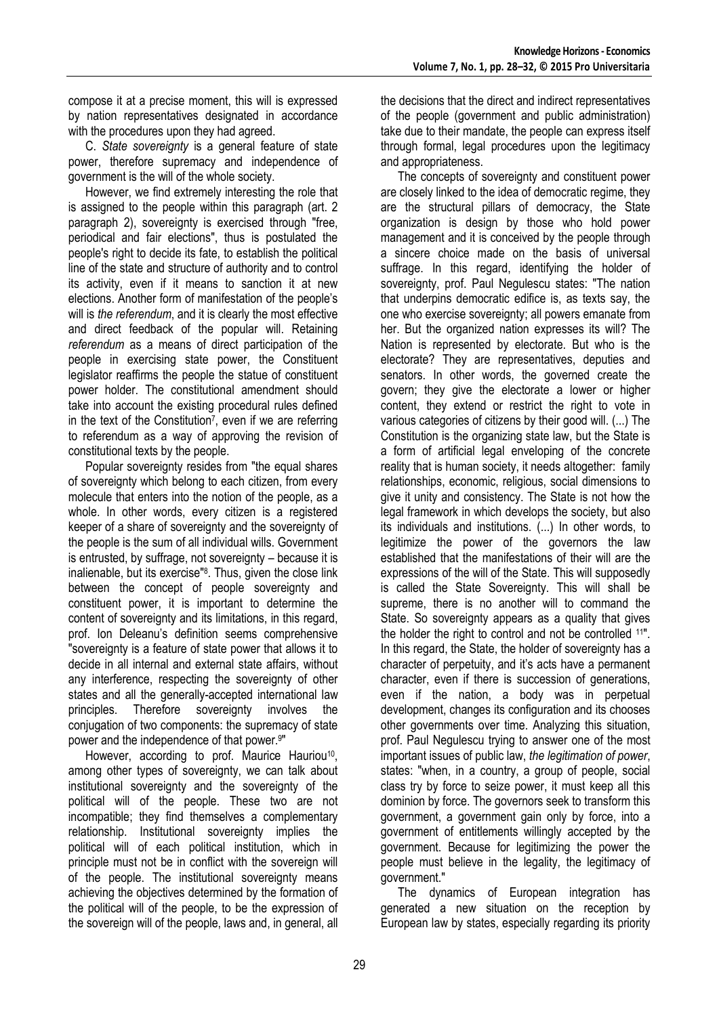compose it at a precise moment, this will is expressed by nation representatives designated in accordance with the procedures upon they had agreed.

C. *State sovereignty* is a general feature of state power, therefore supremacy and independence of government is the will of the whole society.

However, we find extremely interesting the role that is assigned to the people within this paragraph (art. 2 paragraph 2), sovereignty is exercised through "free, periodical and fair elections", thus is postulated the people's right to decide its fate, to establish the political line of the state and structure of authority and to control its activity, even if it means to sanction it at new elections. Another form of manifestation of the people"s will is *the referendum*, and it is clearly the most effective and direct feedback of the popular will. Retaining *referendum* as a means of direct participation of the people in exercising state power, the Constituent legislator reaffirms the people the statue of constituent power holder. The constitutional amendment should take into account the existing procedural rules defined in the text of the Constitution<sup>7</sup>, even if we are referring to referendum as a way of approving the revision of constitutional texts by the people.

Popular sovereignty resides from "the equal shares of sovereignty which belong to each citizen, from every molecule that enters into the notion of the people, as a whole. In other words, every citizen is a registered keeper of a share of sovereignty and the sovereignty of the people is the sum of all individual wills. Government is entrusted, by suffrage, not sovereignty – because it is inalienable, but its exercise"<sup>8</sup> . Thus, given the close link between the concept of people sovereignty and constituent power, it is important to determine the content of sovereignty and its limitations, in this regard, prof. Ion Deleanu"s definition seems comprehensive "sovereignty is a feature of state power that allows it to decide in all internal and external state affairs, without any interference, respecting the sovereignty of other states and all the generally-accepted international law principles. Therefore sovereignty involves the conjugation of two components: the supremacy of state power and the independence of that power.<sup>9</sup> "

However, according to prof. Maurice Hauriou<sup>10</sup>, among other types of sovereignty, we can talk about institutional sovereignty and the sovereignty of the political will of the people. These two are not incompatible; they find themselves a complementary relationship. Institutional sovereignty implies the political will of each political institution, which in principle must not be in conflict with the sovereign will of the people. The institutional sovereignty means achieving the objectives determined by the formation of the political will of the people, to be the expression of the sovereign will of the people, laws and, in general, all the decisions that the direct and indirect representatives of the people (government and public administration) take due to their mandate, the people can express itself through formal, legal procedures upon the legitimacy and appropriateness.

The concepts of sovereignty and constituent power are closely linked to the idea of democratic regime, they are the structural pillars of democracy, the State organization is design by those who hold power management and it is conceived by the people through a sincere choice made on the basis of universal suffrage. In this regard, identifying the holder of sovereignty, prof. Paul Negulescu states: "The nation that underpins democratic edifice is, as texts say, the one who exercise sovereignty; all powers emanate from her. But the organized nation expresses its will? The Nation is represented by electorate. But who is the electorate? They are representatives, deputies and senators. In other words, the governed create the govern; they give the electorate a lower or higher content, they extend or restrict the right to vote in various categories of citizens by their good will. (...) The Constitution is the organizing state law, but the State is a form of artificial legal enveloping of the concrete reality that is human society, it needs altogether: family relationships, economic, religious, social dimensions to give it unity and consistency. The State is not how the legal framework in which develops the society, but also its individuals and institutions. (...) In other words, to legitimize the power of the governors the law established that the manifestations of their will are the expressions of the will of the State. This will supposedly is called the State Sovereignty. This will shall be supreme, there is no another will to command the State. So sovereignty appears as a quality that gives the holder the right to control and not be controlled <sup>11"</sup>. In this regard, the State, the holder of sovereignty has a character of perpetuity, and it"s acts have a permanent character, even if there is succession of generations, even if the nation, a body was in perpetual development, changes its configuration and its chooses other governments over time. Analyzing this situation, prof. Paul Negulescu trying to answer one of the most important issues of public law, *the legitimation of power*, states: "when, in a country, a group of people, social class try by force to seize power, it must keep all this dominion by force. The governors seek to transform this government, a government gain only by force, into a government of entitlements willingly accepted by the government. Because for legitimizing the power the people must believe in the legality, the legitimacy of government."

The dynamics of European integration has generated a new situation on the reception by European law by states, especially regarding its priority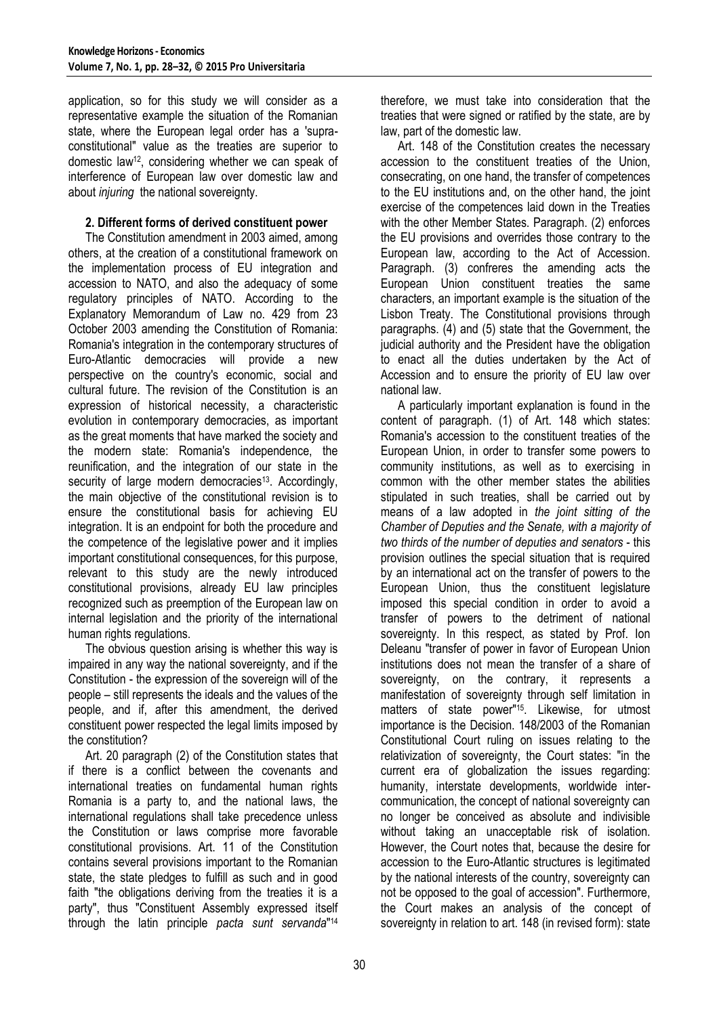application, so for this study we will consider as a representative example the situation of the Romanian state, where the European legal order has a 'supraconstitutional" value as the treaties are superior to domestic law12, considering whether we can speak of interference of European law over domestic law and about *injuring* the national sovereignty.

## **2. Different forms of derived constituent power**

The Constitution amendment in 2003 aimed, among others, at the creation of a constitutional framework on the implementation process of EU integration and accession to NATO, and also the adequacy of some regulatory principles of NATO. According to the Explanatory Memorandum of Law no. 429 from 23 October 2003 amending the Constitution of Romania: Romania's integration in the contemporary structures of Euro-Atlantic democracies will provide a new perspective on the country's economic, social and cultural future. The revision of the Constitution is an expression of historical necessity, a characteristic evolution in contemporary democracies, as important as the great moments that have marked the society and the modern state: Romania's independence, the reunification, and the integration of our state in the security of large modern democracies<sup>13</sup>. Accordingly, the main objective of the constitutional revision is to ensure the constitutional basis for achieving EU integration. It is an endpoint for both the procedure and the competence of the legislative power and it implies important constitutional consequences, for this purpose, relevant to this study are the newly introduced constitutional provisions, already EU law principles recognized such as preemption of the European law on internal legislation and the priority of the international human rights regulations.

The obvious question arising is whether this way is impaired in any way the national sovereignty, and if the Constitution - the expression of the sovereign will of the people – still represents the ideals and the values of the people, and if, after this amendment, the derived constituent power respected the legal limits imposed by the constitution?

Art. 20 paragraph (2) of the Constitution states that if there is a conflict between the covenants and international treaties on fundamental human rights Romania is a party to, and the national laws, the international regulations shall take precedence unless the Constitution or laws comprise more favorable constitutional provisions. Art. 11 of the Constitution contains several provisions important to the Romanian state, the state pledges to fulfill as such and in good faith "the obligations deriving from the treaties it is a party", thus "Constituent Assembly expressed itself through the latin principle *pacta sunt servanda*" 14

therefore, we must take into consideration that the treaties that were signed or ratified by the state, are by law, part of the domestic law.

Art. 148 of the Constitution creates the necessary accession to the constituent treaties of the Union, consecrating, on one hand, the transfer of competences to the EU institutions and, on the other hand, the joint exercise of the competences laid down in the Treaties with the other Member States. Paragraph. (2) enforces the EU provisions and overrides those contrary to the European law, according to the Act of Accession. Paragraph. (3) confreres the amending acts the European Union constituent treaties the same characters, an important example is the situation of the Lisbon Treaty. The Constitutional provisions through paragraphs. (4) and (5) state that the Government, the judicial authority and the President have the obligation to enact all the duties undertaken by the Act of Accession and to ensure the priority of EU law over national law.

A particularly important explanation is found in the content of paragraph. (1) of Art. 148 which states: Romania's accession to the constituent treaties of the European Union, in order to transfer some powers to community institutions, as well as to exercising in common with the other member states the abilities stipulated in such treaties, shall be carried out by means of a law adopted in *the joint sitting of the Chamber of Deputies and the Senate, with a majority of two thirds of the number of deputies and senators* - this provision outlines the special situation that is required by an international act on the transfer of powers to the European Union, thus the constituent legislature imposed this special condition in order to avoid a transfer of powers to the detriment of national sovereignty. In this respect, as stated by Prof. Ion Deleanu "transfer of power in favor of European Union institutions does not mean the transfer of a share of sovereignty, on the contrary, it represents a manifestation of sovereignty through self limitation in matters of state power"<sup>15</sup>. Likewise, for utmost importance is the Decision. 148/2003 of the Romanian Constitutional Court ruling on issues relating to the relativization of sovereignty, the Court states: "in the current era of globalization the issues regarding: humanity, interstate developments, worldwide intercommunication, the concept of national sovereignty can no longer be conceived as absolute and indivisible without taking an unacceptable risk of isolation. However, the Court notes that, because the desire for accession to the Euro-Atlantic structures is legitimated by the national interests of the country, sovereignty can not be opposed to the goal of accession". Furthermore, the Court makes an analysis of the concept of sovereignty in relation to art. 148 (in revised form): state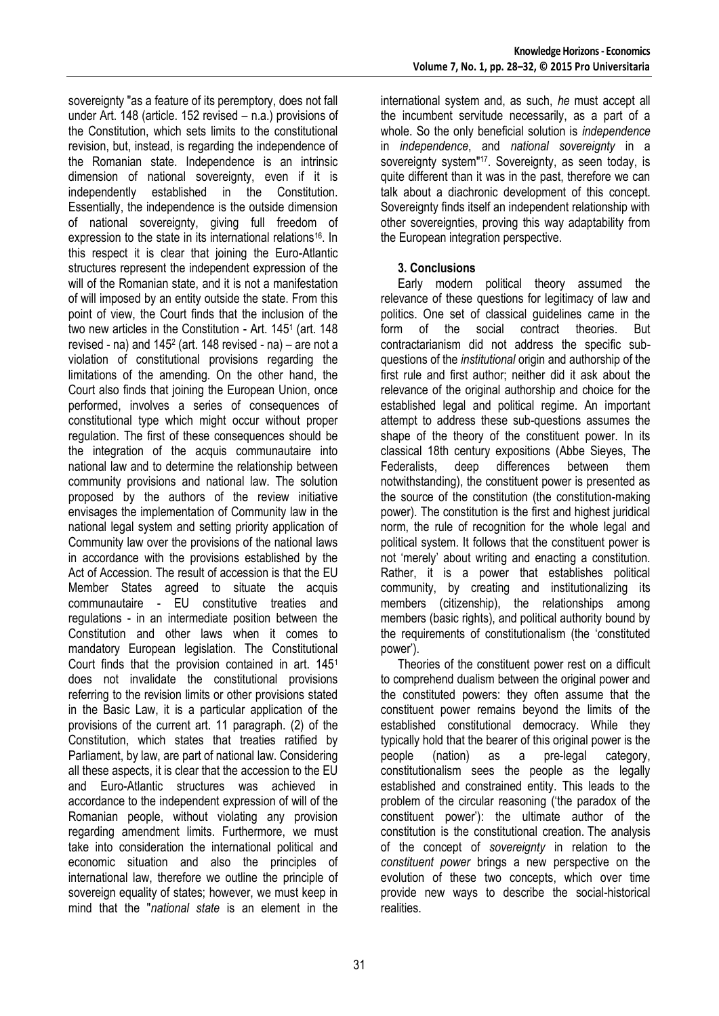sovereignty "as a feature of its peremptory, does not fall under Art. 148 (article. 152 revised – n.a.) provisions of the Constitution, which sets limits to the constitutional revision, but, instead, is regarding the independence of the Romanian state. Independence is an intrinsic dimension of national sovereignty, even if it is independently established in the Constitution. Essentially, the independence is the outside dimension of national sovereignty, giving full freedom of expression to the state in its international relations<sup>16</sup>. In this respect it is clear that joining the Euro-Atlantic structures represent the independent expression of the will of the Romanian state, and it is not a manifestation of will imposed by an entity outside the state. From this point of view, the Court finds that the inclusion of the two new articles in the Constitution - Art. 145<sup>1</sup> (art. 148 revised - na) and 145<sup>2</sup> (art. 148 revised - na) – are not a violation of constitutional provisions regarding the limitations of the amending. On the other hand, the Court also finds that joining the European Union, once performed, involves a series of consequences of constitutional type which might occur without proper regulation. The first of these consequences should be the integration of the acquis communautaire into national law and to determine the relationship between community provisions and national law. The solution proposed by the authors of the review initiative envisages the implementation of Community law in the national legal system and setting priority application of Community law over the provisions of the national laws in accordance with the provisions established by the Act of Accession. The result of accession is that the EU Member States agreed to situate the acquis communautaire - EU constitutive treaties and regulations - in an intermediate position between the Constitution and other laws when it comes to mandatory European legislation. The Constitutional Court finds that the provision contained in art. 145<sup>1</sup> does not invalidate the constitutional provisions referring to the revision limits or other provisions stated in the Basic Law, it is a particular application of the provisions of the current art. 11 paragraph. (2) of the Constitution, which states that treaties ratified by Parliament, by law, are part of national law. Considering all these aspects, it is clear that the accession to the EU and Euro-Atlantic structures was achieved in accordance to the independent expression of will of the Romanian people, without violating any provision regarding amendment limits. Furthermore, we must take into consideration the international political and economic situation and also the principles of international law, therefore we outline the principle of sovereign equality of states; however, we must keep in mind that the "*national state* is an element in the

international system and, as such, *he* must accept all the incumbent servitude necessarily, as a part of a whole. So the only beneficial solution is *independence* in *independence*, and *national sovereignty* in a sovereignty system"<sup>17</sup>. Sovereignty, as seen today, is quite different than it was in the past, therefore we can talk about a diachronic development of this concept. Sovereignty finds itself an independent relationship with other sovereignties, proving this way adaptability from the European integration perspective.

## **3. Conclusions**

Early modern political theory assumed the relevance of these questions for legitimacy of law and politics. One set of classical guidelines came in the form of the social contract theories. But contractarianism did not address the specific subquestions of the *institutional* origin and authorship of the first rule and first author; neither did it ask about the relevance of the original authorship and choice for the established legal and political regime. An important attempt to address these sub-questions assumes the shape of the theory of the constituent power. In its classical 18th century expositions (Abbe Sieyes, The Federalists, deep differences between them notwithstanding), the constituent power is presented as the source of the constitution (the constitution-making power). The constitution is the first and highest juridical norm, the rule of recognition for the whole legal and political system. It follows that the constituent power is not "merely" about writing and enacting a constitution. Rather, it is a power that establishes political community, by creating and institutionalizing its members (citizenship), the relationships among members (basic rights), and political authority bound by the requirements of constitutionalism (the "constituted power').

Theories of the constituent power rest on a difficult to comprehend dualism between the original power and the constituted powers: they often assume that the constituent power remains beyond the limits of the established constitutional democracy. While they typically hold that the bearer of this original power is the people (nation) as a pre-legal category, constitutionalism sees the people as the legally established and constrained entity. This leads to the problem of the circular reasoning ("the paradox of the constituent power"): the ultimate author of the constitution is the constitutional creation. The analysis of the concept of *sovereignty* in relation to the *constituent power* brings a new perspective on the evolution of these two concepts, which over time provide new ways to describe the social-historical realities.